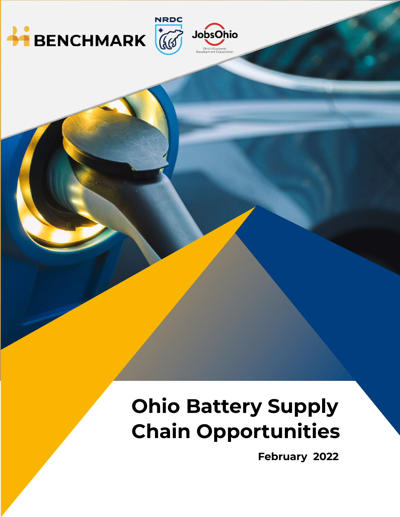



# **Ohio Battery Supply Chain Opportunities**

 **February 2022**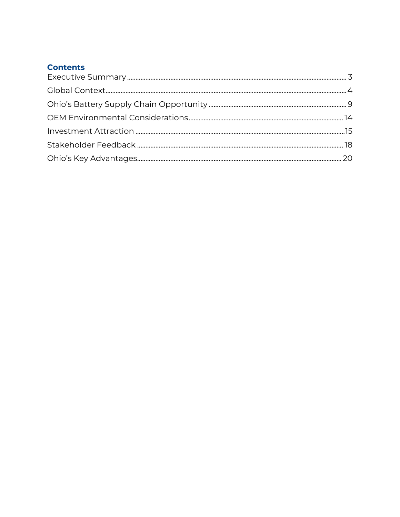## **Contents**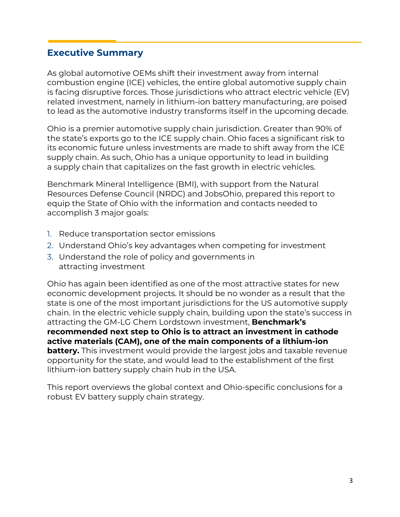## **Executive Summary**

As global automotive OEMs shift their investment away from internal combustion engine (ICE) vehicles, the entire global automotive supply chain is facing disruptive forces. Those jurisdictions who attract electric vehicle (EV) related investment, namely in lithium-ion battery manufacturing, are poised to lead as the automotive industry transforms itself in the upcoming decade.

Ohio is a premier automotive supply chain jurisdiction. Greater than 90% of the state's exports go to the ICE supply chain. Ohio faces a significant risk to its economic future unless investments are made to shift away from the ICE supply chain. As such, Ohio has a unique opportunity to lead in building a supply chain that capitalizes on the fast growth in electric vehicles.

Benchmark Mineral Intelligence (BMI), with support from the Natural Resources Defense Council (NRDC) and JobsOhio, prepared this report to equip the State of Ohio with the information and contacts needed to accomplish 3 major goals:

- 1. Reduce transportation sector emissions
- 2. Understand Ohio's key advantages when competing for investment
- 3. Understand the role of policy and governments in attracting investment

Ohio has again been identified as one of the most attractive states for new economic development projects. It should be no wonder as a result that the state is one of the most important jurisdictions for the US automotive supply chain. In the electric vehicle supply chain, building upon the state's success in attracting the GM-LG Chem Lordstown investment, **Benchmark's recommended next step to Ohio is to attract an investment in cathode active materials (CAM), one of the main components of a lithium-ion battery.** This investment would provide the largest jobs and taxable revenue opportunity for the state, and would lead to the establishment of the first lithium-ion battery supply chain hub in the USA.

This report overviews the global context and Ohio-specific conclusions for a robust EV battery supply chain strategy.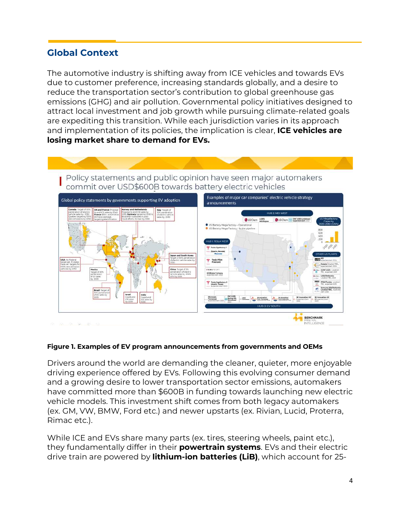## **Global Context**

The automotive industry is shifting away from ICE vehicles and towards EVs due to customer preference, increasing standards globally, and a desire to reduce the transportation sector's contribution to global greenhouse gas emissions (GHG) and air pollution. Governmental policy initiatives designed to attract local investment and job growth while pursuing climate-related goals are expediting this transition. While each jurisdiction varies in its approach and implementation of its policies, the implication is clear, **ICE vehicles are losing market share to demand for EVs.**

Policy statements and public opinion have seen major automakers commit over USD\$600B towards battery electric vehicles



#### **Figure 1. Examples of EV program announcements from governments and OEMs**

Drivers around the world are demanding the cleaner, quieter, more enjoyable driving experience offered by EVs. Following this evolving consumer demand and a growing desire to lower transportation sector emissions, automakers have committed more than \$600B in funding towards launching new electric vehicle models. This investment shift comes from both legacy automakers (ex. GM, VW, BMW, Ford etc.) and newer upstarts (ex. Rivian, Lucid, Proterra, Rimac etc.).

While ICE and EVs share many parts (ex. tires, steering wheels, paint etc.), they fundamentally differ in their **powertrain systems**. EVs and their electric drive train are powered by **lithium-ion batteries (LiB)**, which account for 25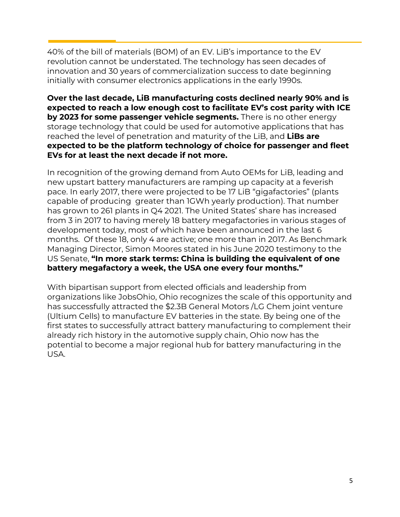40% of the bill of materials (BOM) of an EV. LiB's importance to the EV revolution cannot be understated. The technology has seen decades of innovation and 30 years of commercialization success to date beginning initially with consumer electronics applications in the early 1990s.

**Over the last decade, LiB manufacturing costs declined nearly 90% and is expected to reach a low enough cost to facilitate EV's cost parity with ICE by 2023 for some passenger vehicle segments.** There is no other energy storage technology that could be used for automotive applications that has reached the level of penetration and maturity of the LiB, and **LiBs are expected to be the platform technology of choice for passenger and fleet EVs for at least the next decade if not more.**

In recognition of the growing demand from Auto OEMs for LiB, leading and new upstart battery manufacturers are ramping up capacity at a feverish pace. In early 2017, there were projected to be 17 LiB "gigafactories" (plants capable of producing greater than 1GWh yearly production). That number has grown to 261 plants in Q4 2021. The United States' share has increased from 3 in 2017 to having merely 18 battery megafactories in various stages of development today, most of which have been announced in the last 6 months. Of these 18, only 4 are active; one more than in 2017. As Benchmark Managing Director, Simon Moores stated in his June 2020 testimony to the US Senate, **"In more stark terms: China is building the equivalent of one battery megafactory a week, the USA one every four months."**

With bipartisan support from elected officials and leadership from organizations like JobsOhio, Ohio recognizes the scale of this opportunity and has successfully attracted the \$2.3B General Motors /LG Chem joint venture (Ultium Cells) to manufacture EV batteries in the state. By being one of the first states to successfully attract battery manufacturing to complement their already rich history in the automotive supply chain, Ohio now has the potential to become a major regional hub for battery manufacturing in the USA.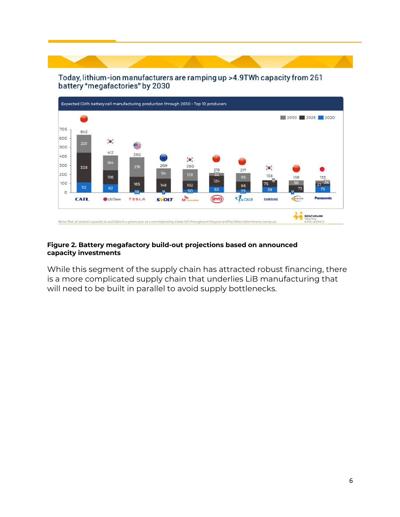#### Today, lithium-ion manufacturers are ramping up >4.9TWh capacity from 261 battery "megafactories" by 2030



#### **Figure 2. Battery megafactory build-out projections based on announced capacity investments**

While this segment of the supply chain has attracted robust financing, there is a more complicated supply chain that underlies LiB manufacturing that will need to be built in parallel to avoid supply bottlenecks.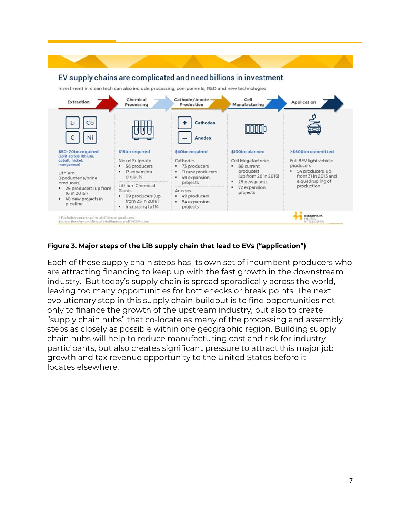

#### **Figure 3. Major steps of the LiB supply chain that lead to EVs ("application")**

Each of these supply chain steps has its own set of incumbent producers who are attracting financing to keep up with the fast growth in the downstream industry. But today's supply chain is spread sporadically across the world, leaving too many opportunities for bottlenecks or break points. The next evolutionary step in this supply chain buildout is to find opportunities not only to finance the growth of the upstream industry, but also to create "supply chain hubs" that co-locate as many of the processing and assembly steps as closely as possible within one geographic region. Building supply chain hubs will help to reduce manufacturing cost and risk for industry participants, but also creates significant pressure to attract this major job growth and tax revenue opportunity to the United States before it locates elsewhere.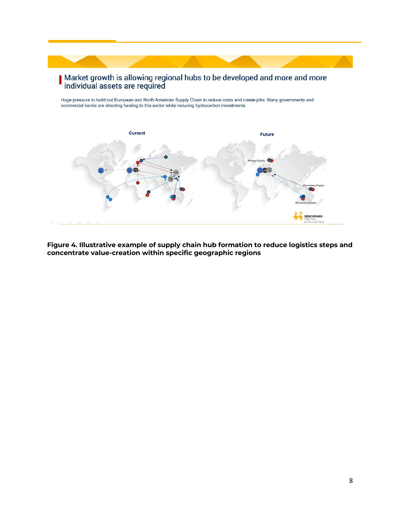## Market growth is allowing regional hubs to be developed and more and more<br>individual assets are required

Huge pressure to build out European and North American Supply Chain to reduce costs and create jobs. Many governments and commercial banks are directing funding to this sector while reducing hydrocarbon investments.



**Figure 4. Illustrative example of supply chain hub formation to reduce logistics steps and concentrate value-creation within specific geographic regions**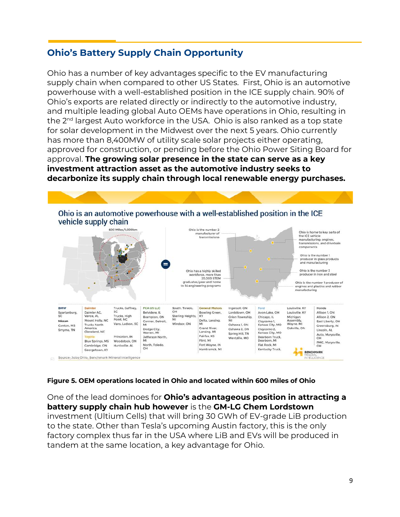## **Ohio's Battery Supply Chain Opportunity**

Ohio has a number of key advantages specific to the EV manufacturing supply chain when compared to other US States. First, Ohio is an automotive powerhouse with a well-established position in the ICE supply chain. 90% of Ohio's exports are related directly or indirectly to the automotive industry, and multiple leading global Auto OEMs have operations in Ohio, resulting in the 2nd largest Auto workforce in the USA. Ohio is also ranked as a top state for solar development in the Midwest over the next 5 years. Ohio currently has more than 8,400MW of utility scale solar projects either operating, approved for construction, or pending before the Ohio Power Siting Board for approval. **The growing solar presence in the state can serve as a key investment attraction asset as the automotive industry seeks to decarbonize its supply chain through local renewable energy purchases.**



#### **Figure 5. OEM operations located in Ohio and located within 600 miles of Ohio**

One of the lead dominoes for **Ohio's advantageous position in attracting a battery supply chain hub however** is the **GM-LG Chem Lordstown** investment (Ultium Cells) that will bring 30 GWh of EV-grade LiB production to the state. Other than Tesla's upcoming Austin factory, this is the only factory complex thus far in the USA where LiB and EVs will be produced in tandem at the same location, a key advantage for Ohio.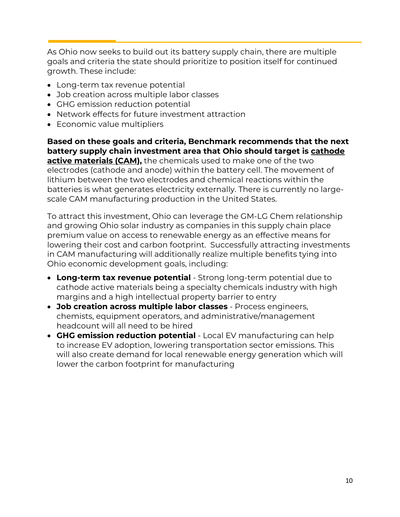As Ohio now seeks to build out its battery supply chain, there are multiple goals and criteria the state should prioritize to position itself for continued growth. These include:

- Long-term tax revenue potential
- Job creation across multiple labor classes
- GHG emission reduction potential
- Network effects for future investment attraction
- Economic value multipliers

**Based on these goals and criteria, Benchmark recommends that the next battery supply chain investment area that Ohio should target is cathode active materials (CAM),** the chemicals used to make one of the two electrodes (cathode and anode) within the battery cell. The movement of lithium between the two electrodes and chemical reactions within the batteries is what generates electricity externally. There is currently no largescale CAM manufacturing production in the United States.

To attract this investment, Ohio can leverage the GM-LG Chem relationship and growing Ohio solar industry as companies in this supply chain place premium value on access to renewable energy as an effective means for lowering their cost and carbon footprint. Successfully attracting investments in CAM manufacturing will additionally realize multiple benefits tying into Ohio economic development goals, including:

- **Long-term tax revenue potential** Strong long-term potential due to cathode active materials being a specialty chemicals industry with high margins and a high intellectual property barrier to entry
- **Job creation across multiple labor classes** Process engineers, chemists, equipment operators, and administrative/management headcount will all need to be hired
- **GHG emission reduction potential** Local EV manufacturing can help to increase EV adoption, lowering transportation sector emissions. This will also create demand for local renewable energy generation which will lower the carbon footprint for manufacturing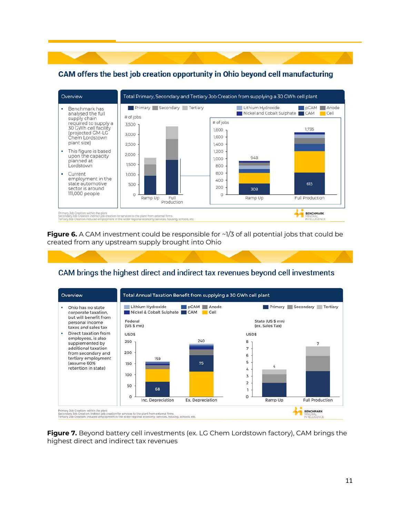

CAM offers the best job creation opportunity in Ohio beyond cell manufacturing

**Figure 6.** A CAM investment could be responsible for ~1/3 of all potential jobs that could be created from any upstream supply brought into Ohio

## CAM brings the highest direct and indirect tax revenues beyond cell investments



**Figure 7.** Beyond battery cell investments (ex. LG Chem Lordstown factory), CAM brings the highest direct and indirect tax revenues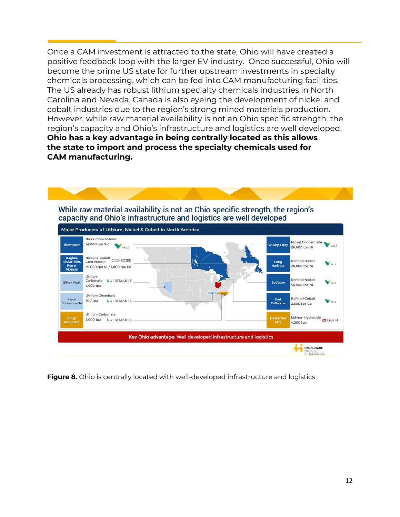Once a CAM investment is attracted to the state, Ohio will have created a positive feedback loop with the larger EV industry. Once successful, Ohio will become the prime US state for further upstream investments in specialty chemicals processing, which can be fed into CAM manufacturing facilities. The US already has robust lithium specialty chemicals industries in North Carolina and Nevada. Canada is also eyeing the development of nickel and cobalt industries due to the region's strong mined materials production. However, while raw material availability is not an Ohio specific strength, the region's capacity and Ohio's infrastructure and logistics are well developed. **Ohio has a key advantage in being centrally located as this allows the state to import and process the specialty chemicals used for CAM manufacturing.**



**Figure 8.** Ohio is centrally located with well-developed infrastructure and logistics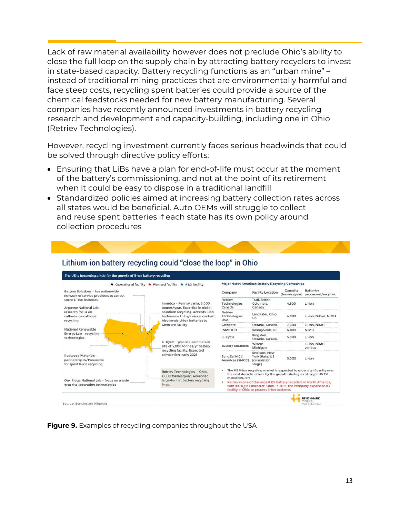Lack of raw material availability however does not preclude Ohio's ability to close the full loop on the supply chain by attracting battery recyclers to invest in state-based capacity. Battery recycling functions as an "urban mine" – instead of traditional mining practices that are environmentally harmful and face steep costs, recycling spent batteries could provide a source of the chemical feedstocks needed for new battery manufacturing. Several companies have recently announced investments in battery recycling research and development and capacity-building, including one in Ohio (Retriev Technologies).

However, recycling investment currently faces serious headwinds that could be solved through directive policy efforts:

- Ensuring that LiBs have a plan for end-of-life must occur at the moment of the battery's commissioning, and not at the point of its retirement when it could be easy to dispose in a traditional landfill
- Standardized policies aimed at increasing battery collection rates across all states would be beneficial. Auto OEMs will struggle to collect and reuse spent batteries if each state has its own policy around collection procedures

| <b>Q</b> Operational facility                                                 | <b>Major North American Battery Recycling Companies</b><br>· Planned facility<br><b>a</b> R&D facility     |                                                                                                                                                                                           |                                                                                                                                                           |                           |                                        |  |  |
|-------------------------------------------------------------------------------|------------------------------------------------------------------------------------------------------------|-------------------------------------------------------------------------------------------------------------------------------------------------------------------------------------------|-----------------------------------------------------------------------------------------------------------------------------------------------------------|---------------------------|----------------------------------------|--|--|
| Battery Solutions - has nationwide<br>network of service providers to collect |                                                                                                            | Company                                                                                                                                                                                   | <b>Facility Location</b>                                                                                                                                  | Capacity<br>(tonnes/year) | <b>Batteries</b><br>processed/recycled |  |  |
| spent Li-ion batteries.<br>Argonne National Lab -                             | Inmetco - Pennsylvania, 6,000<br>tonnes/year. Expertise in nickel                                          | Retriev<br>Technologies<br>Canada                                                                                                                                                         | Trail, British<br>Columbia,<br>Canada                                                                                                                     | 4,500                     | Li-ion                                 |  |  |
| research focus on<br>cathode-to-cathode<br>recycling                          | caladium recycling. Accepts I-ion<br>batteries with high nickel content.<br>Also sends Li-ion batteries to | Retriev<br>Technologies<br><b>USA</b>                                                                                                                                                     | Lancaster, Ohio,<br><b>US</b>                                                                                                                             | 4.000                     | Li-ion, NiCad, NiMH                    |  |  |
|                                                                               | <b>Clencore facility</b>                                                                                   | Clencore                                                                                                                                                                                  | Ontario, Canada                                                                                                                                           | 7,000                     | Li-ion, NiMH                           |  |  |
| National Renewable                                                            |                                                                                                            | <b>INMETCO</b>                                                                                                                                                                            | Pennsylvania, US                                                                                                                                          | 6,000                     | <b>NiMH</b>                            |  |  |
| Energy Lab - recycling<br>technologies                                        | Li-Cycle - planned commercial<br>site of 5,000 tonnes/vr battery                                           | Li-Cycle                                                                                                                                                                                  | Kingston,<br>Ontario, Canada                                                                                                                              | 5.000                     | Li-ion                                 |  |  |
|                                                                               |                                                                                                            | <b>Battery Solutions</b>                                                                                                                                                                  | Wixom.<br>Michigan                                                                                                                                        |                           | Li-ion, NiMH.<br>various               |  |  |
| Redwood Materials -<br>partnership w/Panasonic<br>for spent li-ion recycling  | recycling facility. Expected<br>completion: early 2021                                                     | SungEel MCC<br>Americas (SMCC)                                                                                                                                                            | Endicott, New<br>York State, US<br><i>completion</i><br>stage]                                                                                            | 5,000                     | Li-ion                                 |  |  |
| Oak Ridge National Lab - focus on anode<br>graphite separation technologies   | Retriev Technologies - Ohio,<br>4,000 tonnes/year, Advanced<br>large-format battery recycling<br>lines.    |                                                                                                                                                                                           | The US li-ion recycling market is expected to grow significantly over<br>the next decade, driven by the growth strategies of major US EV<br>manufacturers |                           |                                        |  |  |
|                                                                               |                                                                                                            | Retriev is one of the largest EV battery recyclers in North America,<br>with its HQ in Lancaster, Ohio. In 2015, the company expanded its<br>facility in Ohio to process li-ion batteries |                                                                                                                                                           |                           |                                        |  |  |

#### Lithium-ion battery recycling could "close the loop" in Ohio

**Figure 9.** Examples of recycling companies throughout the USA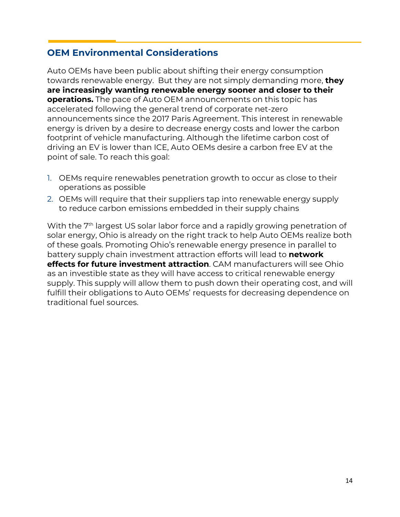## **OEM Environmental Considerations**

Auto OEMs have been public about shifting their energy consumption towards renewable energy. But they are not simply demanding more, **they are increasingly wanting renewable energy sooner and closer to their operations.** The pace of Auto OEM announcements on this topic has accelerated following the general trend of corporate net-zero announcements since the 2017 Paris Agreement. This interest in renewable energy is driven by a desire to decrease energy costs and lower the carbon footprint of vehicle manufacturing. Although the lifetime carbon cost of driving an EV is lower than ICE, Auto OEMs desire a carbon free EV at the point of sale. To reach this goal:

- 1. OEMs require renewables penetration growth to occur as close to their operations as possible
- 2. OEMs will require that their suppliers tap into renewable energy supply to reduce carbon emissions embedded in their supply chains

With the 7<sup>th</sup> largest US solar labor force and a rapidly growing penetration of solar energy, Ohio is already on the right track to help Auto OEMs realize both of these goals. Promoting Ohio's renewable energy presence in parallel to battery supply chain investment attraction efforts will lead to **network effects for future investment attraction**. CAM manufacturers will see Ohio as an investible state as they will have access to critical renewable energy supply. This supply will allow them to push down their operating cost, and will fulfill their obligations to Auto OEMs' requests for decreasing dependence on traditional fuel sources.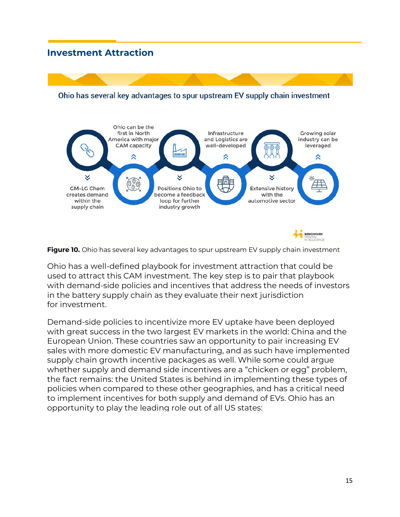## **Investment Attraction**



Ohio has several key advantages to spur upstream EV supply chain investment



Ohio has a well-defined playbook for investment attraction that could be used to attract this CAM investment. The key step is to pair that playbook with demand-side policies and incentives that address the needs of investors in the battery supply chain as they evaluate their next jurisdiction for investment.

Demand-side policies to incentivize more EV uptake have been deployed with great success in the two largest EV markets in the world: China and the European Union. These countries saw an opportunity to pair increasing EV sales with more domestic EV manufacturing, and as such have implemented supply chain growth incentive packages as well. While some could argue whether supply and demand side incentives are a "chicken or egg" problem, the fact remains: the United States is behind in implementing these types of policies when compared to these other geographies, and has a critical need to implement incentives for both supply and demand of EVs. Ohio has an opportunity to play the leading role out of all US states: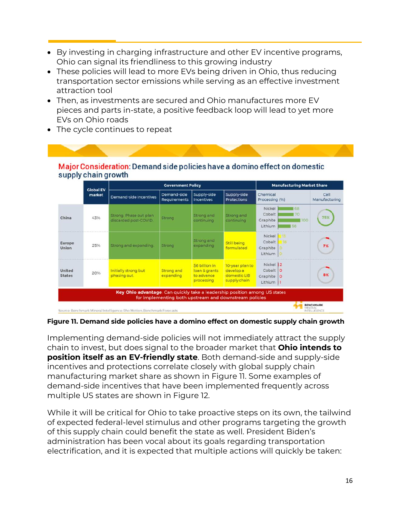- By investing in charging infrastructure and other EV incentive programs, Ohio can signal its friendliness to this growing industry
- These policies will lead to more EVs being driven in Ohio, thus reducing transportation sector emissions while serving as an effective investment attraction tool
- Then, as investments are secured and Ohio manufactures more EV pieces and parts in-state, a positive feedback loop will lead to yet more EVs on Ohio roads

Major Consideration: Demand side policies have a domino effect on domestic

|                         | <b>Global EV</b><br>market | <b>Covernment Policy</b>                        |                                |                                                            |                                                              | <b>Manufacturing Market Share</b>                                 |                       |  |
|-------------------------|----------------------------|-------------------------------------------------|--------------------------------|------------------------------------------------------------|--------------------------------------------------------------|-------------------------------------------------------------------|-----------------------|--|
|                         |                            | Demand-side Incentives                          | Demand-side<br>Requirements    | Supply-side<br><b>Incentives</b>                           | Supply-side<br><b>Protections</b>                            | Chemical<br>Processing (96)                                       | Cell<br>Manufacturing |  |
| China                   | 43%                        | Strong. Phase out plan<br>discarded post-COVID. | Strong                         | <b>Strong and</b><br>continuing                            | Strong and<br>continuing                                     | Nickel<br>68<br>Cobalt<br>70<br>100<br>Graphite<br>Lithium<br>156 | 75%                   |  |
| Europe<br>Union         | 2596                       | Strong and expanding.                           | <b>Strong</b>                  | Strong and<br>expanding                                    | Still being<br>formulated                                    | Nickel<br>m<br>Cobalt<br>116<br>Graphite<br>Lithium   0           | 7%                    |  |
| United<br><b>States</b> | 20%                        | Initially strong but<br>phasing out.            | <b>Strong and</b><br>expanding | S6 billion in<br>loan & grants<br>to advance<br>processing | 10-year plan to<br>develop a<br>domestic LIB<br>supply chain | Nickel 12<br>Cobalt O<br>Craphite   0<br>Lithium  1               | 8%                    |  |

• The cycle continues to repeat

#### **Figure 11. Demand side policies have a domino effect on domestic supply chain growth**

Implementing demand-side policies will not immediately attract the supply chain to invest, but does signal to the broader market that **Ohio intends to position itself as an EV-friendly state**. Both demand-side and supply-side incentives and protections correlate closely with global supply chain manufacturing market share as shown in Figure 11. Some examples of demand-side incentives that have been implemented frequently across multiple US states are shown in Figure 12.

While it will be critical for Ohio to take proactive steps on its own, the tailwind of expected federal-level stimulus and other programs targeting the growth of this supply chain could benefit the state as well. President Biden's administration has been vocal about its goals regarding transportation electrification, and it is expected that multiple actions will quickly be taken: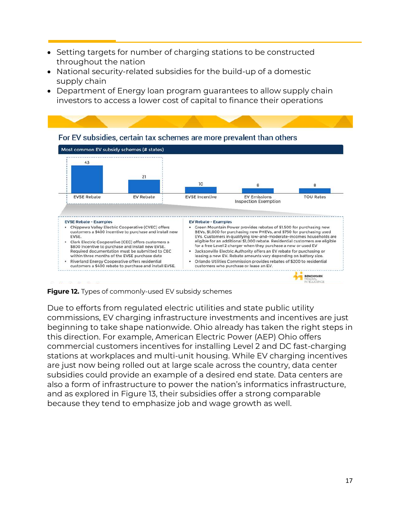- Setting targets for number of charging stations to be constructed throughout the nation
- National security-related subsidies for the build-up of a domestic supply chain
- Department of Energy loan program guarantees to allow supply chain investors to access a lower cost of capital to finance their operations



**Figure 12.** Types of commonly-used EV subsidy schemes

Due to efforts from regulated electric utilities and state public utility commissions, EV charging infrastructure investments and incentives are just beginning to take shape nationwide. Ohio already has taken the right steps in this direction. For example, American Electric Power (AEP) Ohio offers commercial customers incentives for installing Level 2 and DC fast-charging stations at workplaces and multi-unit housing. While EV charging incentives are just now being rolled out at large scale across the country, data center subsidies could provide an example of a desired end state. Data centers are also a form of infrastructure to power the nation's informatics infrastructure, and as explored in Figure 13, their subsidies offer a strong comparable because they tend to emphasize job and wage growth as well.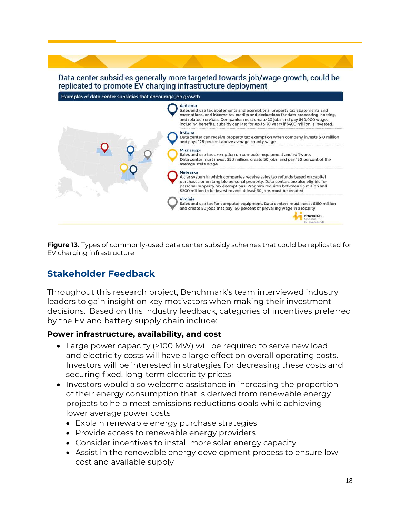#### Data center subsidies generally more targeted towards job/wage growth, could be replicated to promote EV charging infrastructure deployment



**Figure 13.** Types of commonly-used data center subsidy schemes that could be replicated for EV charging infrastructure

## **Stakeholder Feedback**

Throughout this research project, Benchmark's team interviewed industry leaders to gain insight on key motivators when making their investment decisions. Based on this industry feedback, categories of incentives preferred by the EV and battery supply chain include:

#### **Power infrastructure, availability, and cost**

- Large power capacity (>100 MW) will be required to serve new load and electricity costs will have a large effect on overall operating costs. Investors will be interested in strategies for decreasing these costs and securing fixed, long-term electricity prices
- Investors would also welcome assistance in increasing the proportion of their energy consumption that is derived from renewable energy projects to help meet emissions reductions goals while achieving lower average power costs
	- Explain renewable energy purchase strategies
	- Provide access to renewable energy providers
	- Consider incentives to install more solar energy capacity
	- Assist in the renewable energy development process to ensure lowcost and available supply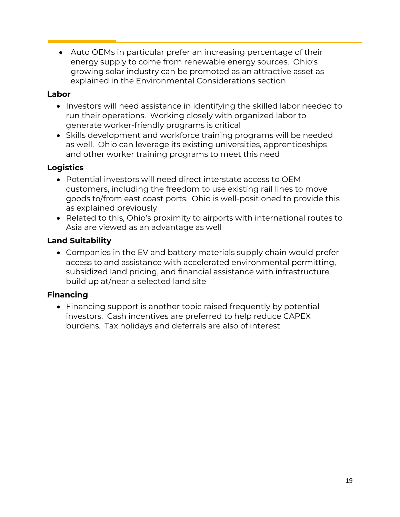• Auto OEMs in particular prefer an increasing percentage of their energy supply to come from renewable energy sources. Ohio's growing solar industry can be promoted as an attractive asset as explained in the Environmental Considerations section

#### **Labor**

- Investors will need assistance in identifying the skilled labor needed to run their operations. Working closely with organized labor to generate worker-friendly programs is critical
- Skills development and workforce training programs will be needed as well. Ohio can leverage its existing universities, apprenticeships and other worker training programs to meet this need

## **Logistics**

- Potential investors will need direct interstate access to OEM customers, including the freedom to use existing rail lines to move goods to/from east coast ports. Ohio is well-positioned to provide this as explained previously
- Related to this, Ohio's proximity to airports with international routes to Asia are viewed as an advantage as well

## **Land Suitability**

• Companies in the EV and battery materials supply chain would prefer access to and assistance with accelerated environmental permitting, subsidized land pricing, and financial assistance with infrastructure build up at/near a selected land site

## **Financing**

• Financing support is another topic raised frequently by potential investors. Cash incentives are preferred to help reduce CAPEX burdens. Tax holidays and deferrals are also of interest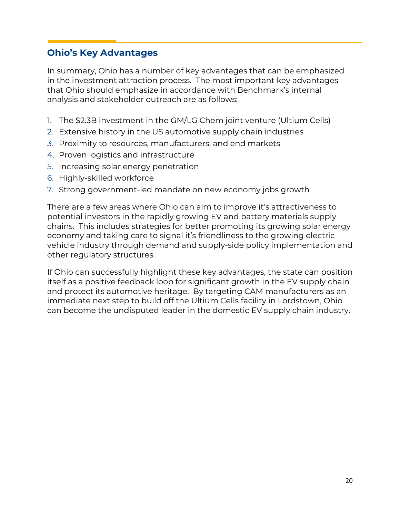## **Ohio's Key Advantages**

In summary, Ohio has a number of key advantages that can be emphasized in the investment attraction process. The most important key advantages that Ohio should emphasize in accordance with Benchmark's internal analysis and stakeholder outreach are as follows:

- 1. The \$2.3B investment in the GM/LG Chem joint venture (Ultium Cells)
- 2. Extensive history in the US automotive supply chain industries
- 3. Proximity to resources, manufacturers, and end markets
- 4. Proven logistics and infrastructure
- 5. Increasing solar energy penetration
- 6. Highly-skilled workforce
- 7. Strong government-led mandate on new economy jobs growth

There are a few areas where Ohio can aim to improve it's attractiveness to potential investors in the rapidly growing EV and battery materials supply chains. This includes strategies for better promoting its growing solar energy economy and taking care to signal it's friendliness to the growing electric vehicle industry through demand and supply-side policy implementation and other regulatory structures.

If Ohio can successfully highlight these key advantages, the state can position itself as a positive feedback loop for significant growth in the EV supply chain and protect its automotive heritage. By targeting CAM manufacturers as an immediate next step to build off the Ultium Cells facility in Lordstown, Ohio can become the undisputed leader in the domestic EV supply chain industry.